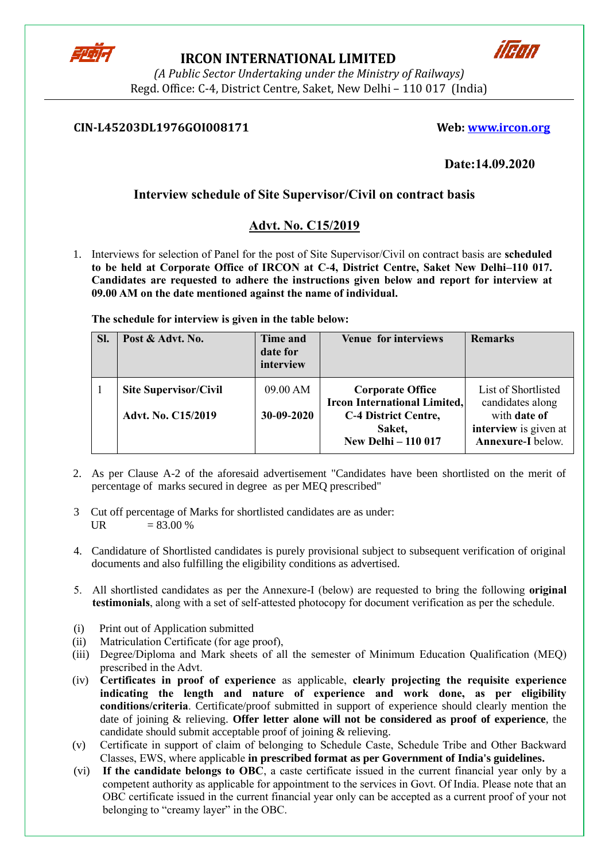

# **IRCON INTERNATIONAL LIMITED**



*(A Public Sector Undertaking under the Ministry of Railways)* Regd. Office: C-4, District Centre, Saket, New Delhi – 110 017 (India)

## **CIN-L45203DL1976GOI008171 Web: [www.ircon.org](http://www.ircon.org/)**

# **Date:14.09.2020**

# **Interview schedule of Site Supervisor/Civil on contract basis**

# **Advt. No. C15/2019**

1. Interviews for selection of Panel for the post of Site Supervisor/Civil on contract basis are **scheduled to be held at Corporate Office of IRCON at C-4, District Centre, Saket New Delhi–110 017. Candidates are requested to adhere the instructions given below and report for interview at 09.00 AM on the date mentioned against the name of individual.** 

**The schedule for interview is given in the table below:**

| SI. | Post & Advt. No.                                          | Time and<br>date for<br>interview | <b>Venue for interviews</b>                                                                                                           | <b>Remarks</b>                                                                                        |
|-----|-----------------------------------------------------------|-----------------------------------|---------------------------------------------------------------------------------------------------------------------------------------|-------------------------------------------------------------------------------------------------------|
|     | <b>Site Supervisor/Civil</b><br><b>Advt. No. C15/2019</b> | 09.00 AM<br>30-09-2020            | <b>Corporate Office</b><br><b>Ircon International Limited,</b><br><b>C-4 District Centre,</b><br>Saket,<br><b>New Delhi - 110 017</b> | List of Shortlisted<br>candidates along<br>with date of<br>interview is given at<br>Annexure-I below. |

- 2. As per Clause A-2 of the aforesaid advertisement "Candidates have been shortlisted on the merit of percentage of marks secured in degree as per MEQ prescribed"
- 3 Cut off percentage of Marks for shortlisted candidates are as under: UR  $= 83.00 %$
- 4. Candidature of Shortlisted candidates is purely provisional subject to subsequent verification of original documents and also fulfilling the eligibility conditions as advertised.
- 5. All shortlisted candidates as per the Annexure-I (below) are requested to bring the following **original testimonials**, along with a set of self-attested photocopy for document verification as per the schedule.
- (i) Print out of Application submitted
- (ii) Matriculation Certificate (for age proof),
- (iii) Degree/Diploma and Mark sheets of all the semester of Minimum Education Qualification (MEQ) prescribed in the Advt.
- (iv) **Certificates in proof of experience** as applicable, **clearly projecting the requisite experience indicating the length and nature of experience and work done, as per eligibility conditions/criteria**. Certificate/proof submitted in support of experience should clearly mention the date of joining & relieving. **Offer letter alone will not be considered as proof of experience**, the candidate should submit acceptable proof of joining & relieving.
- (v) Certificate in support of claim of belonging to Schedule Caste, Schedule Tribe and Other Backward Classes, EWS, where applicable **in prescribed format as per Government of India's guidelines.**
- (vi) **If the candidate belongs to OBC**, a caste certificate issued in the current financial year only by a competent authority as applicable for appointment to the services in Govt. Of India. Please note that an OBC certificate issued in the current financial year only can be accepted as a current proof of your not belonging to "creamy layer" in the OBC.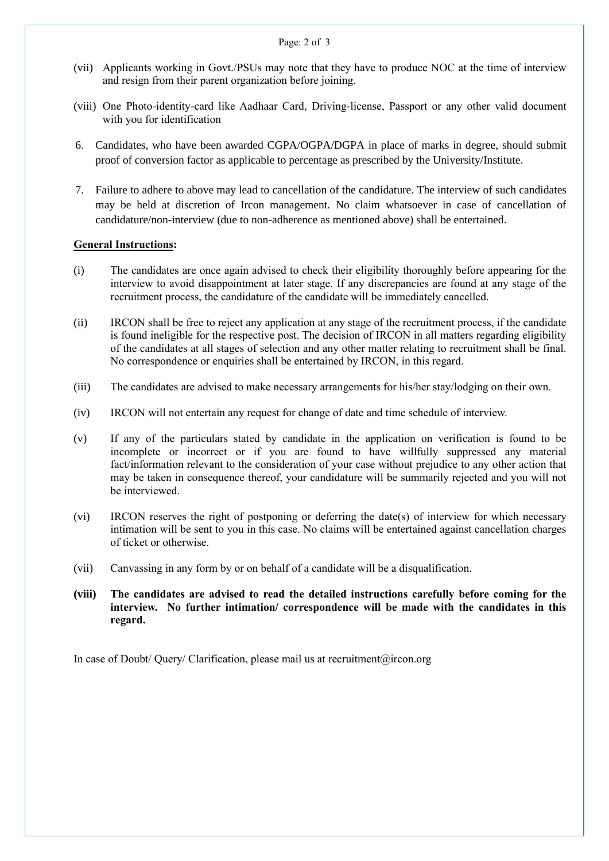- Page: 2 of 3
- (vii) Applicants working in Govt./PSUs may note that they have to produce NOC at the time of interview and resign from their parent organization before joining.
- (viii) One Photo-identity-card like Aadhaar Card, Driving-license, Passport or any other valid document with you for identification
- 6. Candidates, who have been awarded CGPA/OGPA/DGPA in place of marks in degree, should submit proof of conversion factor as applicable to percentage as prescribed by the University/Institute.
- 7. Failure to adhere to above may lead to cancellation of the candidature. The interview of such candidates may be held at discretion of Ircon management. No claim whatsoever in case of cancellation of candidature/non-interview (due to non-adherence as mentioned above) shall be entertained.

#### **General Instructions:**

- (i) The candidates are once again advised to check their eligibility thoroughly before appearing for the interview to avoid disappointment at later stage. If any discrepancies are found at any stage of the recruitment process, the candidature of the candidate will be immediately cancelled.
- (ii) IRCON shall be free to reject any application at any stage of the recruitment process, if the candidate is found ineligible for the respective post. The decision of IRCON in all matters regarding eligibility of the candidates at all stages of selection and any other matter relating to recruitment shall be final. No correspondence or enquiries shall be entertained by IRCON, in this regard.
- (iii) The candidates are advised to make necessary arrangements for his/her stay/lodging on their own.
- (iv) IRCON will not entertain any request for change of date and time schedule of interview.
- (v) If any of the particulars stated by candidate in the application on verification is found to be incomplete or incorrect or if you are found to have willfully suppressed any material fact/information relevant to the consideration of your case without prejudice to any other action that may be taken in consequence thereof, your candidature will be summarily rejected and you will not be interviewed.
- (vi) IRCON reserves the right of postponing or deferring the date(s) of interview for which necessary intimation will be sent to you in this case. No claims will be entertained against cancellation charges of ticket or otherwise.
- (vii) Canvassing in any form by or on behalf of a candidate will be a disqualification.
- **(viii) The candidates are advised to read the detailed instructions carefully before coming for the interview. No further intimation/ correspondence will be made with the candidates in this regard.**

In case of Doubt/ Query/ Clarification, please mail us at recruitment@ircon.org